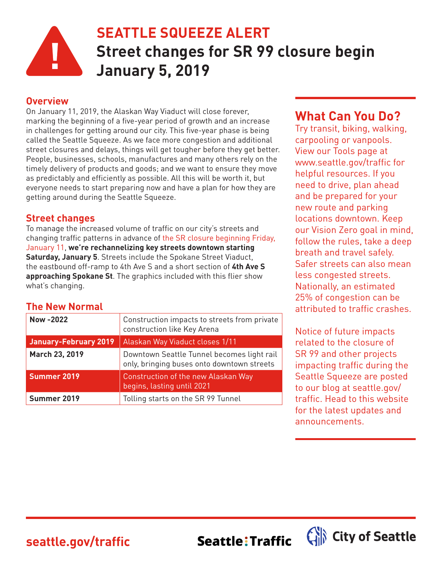

# **SEATTLE SQUEEZE ALERT Street changes for SR 99 closure begin January 5, 2019**

#### **Overview**

On January 11, 2019, the Alaskan Way Viaduct will close forever, marking the beginning of a five-year period of growth and an increase in challenges for getting around our city. This five-year phase is being called the Seattle Squeeze. As we face more congestion and additional street closures and delays, things will get tougher before they get better. People, businesses, schools, manufactures and many others rely on the timely delivery of products and goods; and we want to ensure they move as predictably and efficiently as possible. All this will be worth it, but everyone needs to start preparing now and have a plan for how they are getting around during the Seattle Squeeze.

#### **Street changes**

To manage the increased volume of traffic on our city's streets and changing traffic patterns in advance of the SR closure beginning Friday, January 11, **we're rechannelizing key streets downtown starting Saturday, January 5**. Streets include the Spokane Street Viaduct, the eastbound off-ramp to 4th Ave S and a short section of **4th Ave S approaching Spokane St**. The graphics included with this flier show what's changing.

### **The New Normal**

| <b>Now-2022</b>              | Construction impacts to streets from private<br>construction like Key Arena              |
|------------------------------|------------------------------------------------------------------------------------------|
| <b>January-February 2019</b> | Alaskan Way Viaduct closes 1/11                                                          |
| March 23, 2019               | Downtown Seattle Tunnel becomes light rail<br>only, bringing buses onto downtown streets |
| Summer 2019                  | Construction of the new Alaskan Way<br>begins, lasting until 2021                        |
| Summer 2019                  | Tolling starts on the SR 99 Tunnel                                                       |

## **What Can You Do?**

Try transit, biking, walking, carpooling or vanpools. View our Tools page at www.seattle.gov/traffic for helpful resources. If you need to drive, plan ahead and be prepared for your new route and parking locations downtown. Keep our Vision Zero goal in mind, follow the rules, take a deep breath and travel safely. Safer streets can also mean less congested streets. Nationally, an estimated 25% of congestion can be attributed to traffic crashes.

Notice of future impacts related to the closure of SR 99 and other projects impacting traffic during the Seattle Squeeze are posted to our blog at seattle.gov/ traffic. Head to this website for the latest updates and announcements.

**seattle.gov/traffic**

Seattle: Traffic